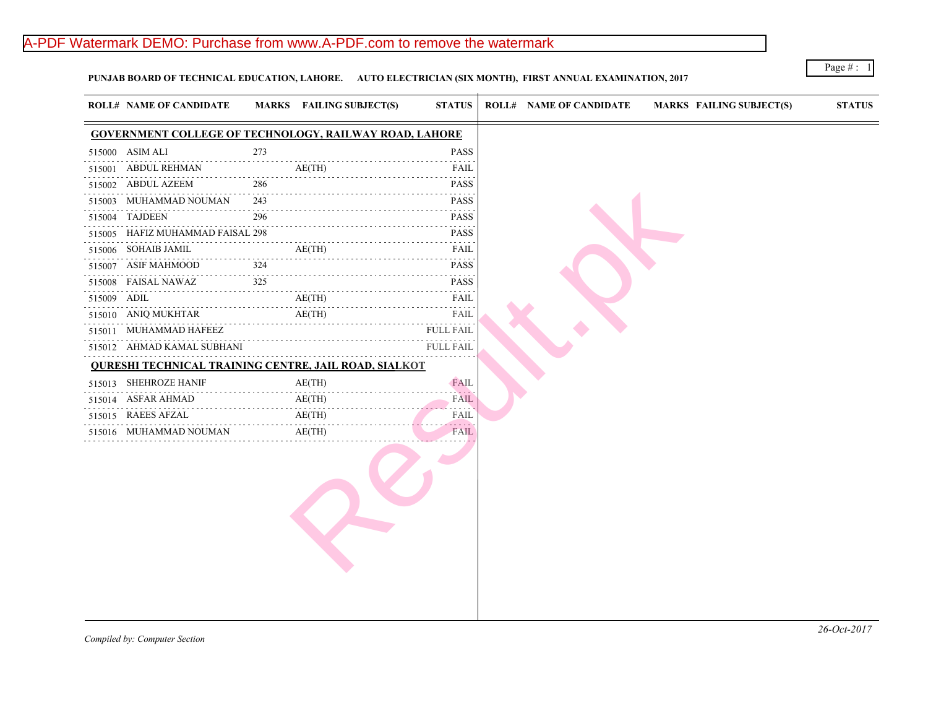# A-PDF Watermark DEMO: Purchase from www.A-PDF.com to remove the watermark

**PUNJAB BOARD OF TECHNICAL EDUCATION, LAHORE. AUTO ELECTRICIAN (SIX MONTH), FIRST ANNUAL EXAMINATION, 2017**

|                                                                                                   | <b>ROLL# NAME OF CANDIDATE</b>                                |     | MARKS FAILING SUBJECT(S)                         | <b>STATUS</b>                                  | <b>ROLL# NAME OF CANDIDATE</b> | <b>MARKS FAIL</b> |
|---------------------------------------------------------------------------------------------------|---------------------------------------------------------------|-----|--------------------------------------------------|------------------------------------------------|--------------------------------|-------------------|
|                                                                                                   | <b>GOVERNMENT COLLEGE OF TECHNOLOGY, RAILWAY ROAD, LAHORE</b> |     |                                                  |                                                |                                |                   |
|                                                                                                   | 515000 ASIM ALI                                               | 273 |                                                  | <b>PASS</b>                                    |                                |                   |
|                                                                                                   | 515001 ABDUL REHMAN                                           |     | AE(TH)                                           | FAIL                                           |                                |                   |
|                                                                                                   | 515002 ABDUL AZEEM                                            | 286 |                                                  | <b>PASS</b>                                    |                                |                   |
|                                                                                                   | 515003 MUHAMMAD NOUMAN                                        | 243 |                                                  | <b>PASS</b>                                    |                                |                   |
|                                                                                                   | 515004 TAJDEEN                                                | 296 |                                                  | <b>PASS</b><br>and a strategies                |                                |                   |
|                                                                                                   | 515005 HAFIZ MUHAMMAD FAISAL 298                              |     |                                                  | <b>PASS</b>                                    |                                |                   |
|                                                                                                   | 515006 SOHAIB JAMIL                                           |     | AE(TH)                                           | FAIL                                           |                                |                   |
|                                                                                                   | 515007 ASIF MAHMOOD                                           | 324 |                                                  | <b>PASS</b><br>$-2 - 2 - 2 - 2 - 2$            |                                |                   |
|                                                                                                   | 515008 FAISAL NAWAZ                                           | 325 |                                                  | <b>PASS</b>                                    |                                |                   |
| $\begin{array}{cccccccccccccc} \bot & \bot & \bot & \bot & \bot & \bot & \bot & \bot \end{array}$ | 515009 ADIL                                                   |     | AE(TH)                                           | FAIL                                           |                                |                   |
|                                                                                                   | 515010 ANIQ MUKHTAR                                           |     | AE(TH)<br>2             AE(TH)              FAIL | FAIL                                           |                                |                   |
|                                                                                                   | 515011 MUHAMMAD HAFEEZ                                        |     |                                                  | <b>FULL FAIL</b>                               |                                |                   |
|                                                                                                   | 515012 AHMAD KAMAL SUBHANI                                    |     |                                                  | FULL FAIL                                      |                                |                   |
|                                                                                                   | <b>QURESHI TECHNICAL TRAINING CENTRE, JAIL ROAD, SIALKOT</b>  |     |                                                  |                                                |                                |                   |
|                                                                                                   | 515013 SHEHROZE HANIF<br>.                                    |     | AE(TH)                                           | <b>FAIL</b><br>200 L D                         |                                |                   |
|                                                                                                   | 515014 ASFAR AHMAD<br>515014 ASFAR AHMAD AE(TH)               |     | AE(TH)                                           | <b>FAIL</b><br><b><i><u>A.A.A.A.A.</u></i></b> |                                |                   |
|                                                                                                   | 515015 RAEES AFZAL                                            |     |                                                  | FAIL<br>.                                      |                                |                   |
|                                                                                                   | 515016 MUHAMMAD NOUMAN                                        |     | AE(TH)                                           | FAIL                                           |                                |                   |
|                                                                                                   |                                                               |     |                                                  |                                                |                                |                   |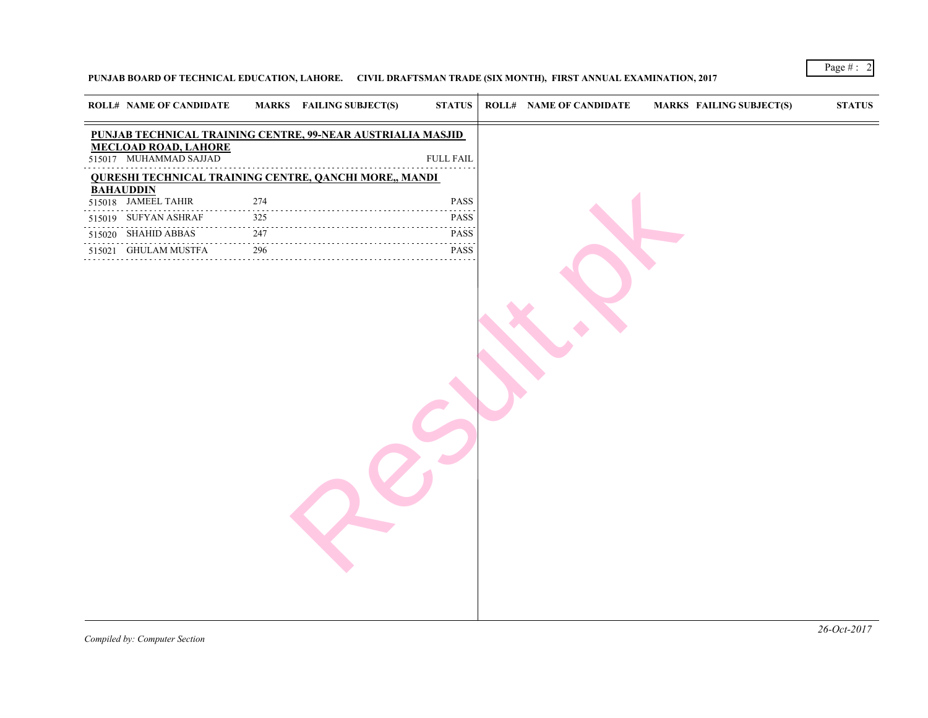### **PUNJAB BOARD OF TECHNICAL EDUCATION, LAHORE. CIVIL DRAFTSMAN TRADE (SIX MONTH), FIRST ANNUAL EXAMINATION, 2017**

| <b>ROLL# NAME OF CANDIDATE</b>                                |                                | MARKS FAILING SUBJECT(S) | <b>STATUS</b>    | <b>ROLL# NAME OF CANDIDATE</b> | <b>MARKS FAIL</b> |
|---------------------------------------------------------------|--------------------------------|--------------------------|------------------|--------------------------------|-------------------|
| PUNJAB TECHNICAL TRAINING CENTRE, 99-NEAR AUSTRIALIA MASJID   |                                |                          |                  |                                |                   |
| MECLOAD ROAD, LAHORE<br>515017 MUHAMMAD SAJJAD                |                                |                          | <b>FULL FAIL</b> |                                |                   |
| <b>QURESHI TECHNICAL TRAINING CENTRE, QANCHI MORE,, MANDI</b> |                                |                          |                  |                                |                   |
| <b>BAHAUDDIN</b>                                              |                                |                          |                  |                                |                   |
| 515018 JAMEEL TAHIR                                           | 274<br>$\sim 100$ km s $^{-1}$ |                          | PASS             |                                |                   |
| 515019 SUFYAN ASHRAF                                          | 325                            |                          | <b>PASS</b>      |                                |                   |
| 515020 SHAHID ABBAS                                           | 247                            |                          | PASS             |                                |                   |
| 515021 GHULAM MUSTFA                                          | 296<br>.                       |                          | <b>PASS</b>      |                                |                   |
|                                                               |                                |                          |                  |                                |                   |
|                                                               |                                |                          |                  |                                |                   |
|                                                               |                                |                          |                  |                                |                   |
|                                                               |                                |                          |                  |                                |                   |
|                                                               |                                |                          |                  |                                |                   |
|                                                               |                                |                          |                  |                                |                   |
|                                                               |                                |                          |                  |                                |                   |
|                                                               |                                |                          |                  |                                |                   |
|                                                               |                                |                          |                  |                                |                   |
|                                                               |                                |                          |                  |                                |                   |
|                                                               |                                |                          |                  |                                |                   |
|                                                               |                                |                          |                  |                                |                   |
|                                                               |                                |                          |                  |                                |                   |
|                                                               |                                |                          |                  |                                |                   |
|                                                               |                                |                          |                  |                                |                   |
|                                                               |                                |                          |                  |                                |                   |
|                                                               |                                |                          |                  |                                |                   |
|                                                               |                                |                          |                  |                                |                   |
|                                                               |                                |                          |                  |                                |                   |
|                                                               |                                |                          |                  |                                |                   |
|                                                               |                                |                          |                  |                                |                   |
|                                                               |                                |                          |                  |                                |                   |
|                                                               |                                |                          |                  |                                |                   |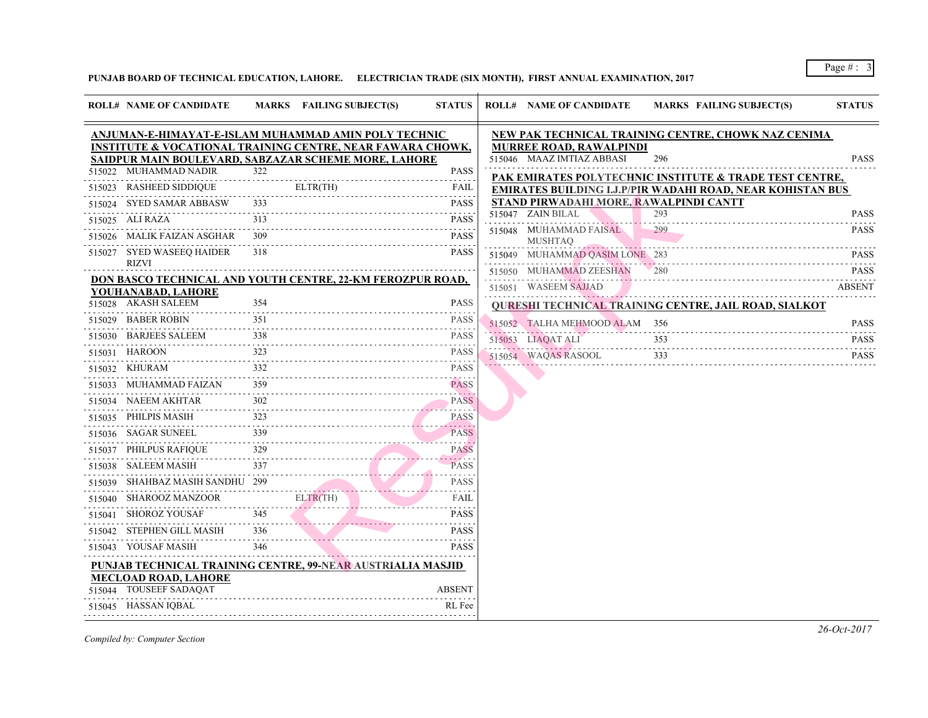**PUNJAB BOARD OF TECHNICAL EDUCATION, LAHORE. ELECTRICIAN TRADE (SIX MONTH), FIRST ANNUAL EXAMINATION, 2017**

| <b>ROLL# NAME OF CANDIDATE</b>                                        |     | MARKS FAILING SUBJECT(S)                                                                                                                                                 | <b>STATUS</b>    | <b>ROLL# NAME OF CANDIDATE</b>              | <b>MARKS FAIL</b> |
|-----------------------------------------------------------------------|-----|--------------------------------------------------------------------------------------------------------------------------------------------------------------------------|------------------|---------------------------------------------|-------------------|
| ANJUMAN-E-HIMAYAT-E-ISLAM MUHAMMAD AMIN POLY TECHNIC                  |     |                                                                                                                                                                          |                  | <b>NEW PAK TECHNICAL TRAINING CENTRE,</b>   |                   |
| <b>INSTITUTE &amp; VOCATIONAL TRAINING CENTRE, NEAR FAWARA CHOWK,</b> |     |                                                                                                                                                                          |                  | <b>MURREE ROAD, RAWALPINDI</b>              |                   |
| SAIDPUR MAIN BOULEVARD, SABZAZAR SCHEME MORE, LAHORE                  |     |                                                                                                                                                                          |                  | 515046 MAAZ IMTIAZ ABBASI                   | 296               |
| 515022 MUHAMMAD NADIR                                                 | 322 |                                                                                                                                                                          | <b>PASS</b>      | PAK EMIRATES POLYTECHNIC INSTITUTE          |                   |
| 515023 RASHEED SIDDIQUE                                               |     | ELTR(TH)<br>FAIL FAIL                                                                                                                                                    |                  | EMIRATES BUILDING I.J.P/PIR WADAHI RO.      |                   |
| 515024 SYED SAMAR ABBASW                                              |     |                                                                                                                                                                          | <b>PASS</b>      | STAND PIRWADAHI MORE, RAWALPINDI CA         |                   |
| 515025 ALI RAZA                                                       | 313 |                                                                                                                                                                          | <b>PASS</b>      | 515047 ZAIN BILAL                           | 293               |
| 515026 MALIK FAIZAN ASGHAR 309                                        |     |                                                                                                                                                                          | <b>PASS</b><br>. | 515048 MUHAMMAD FAISAL<br><b>MUSHTAQ</b>    | 299               |
| 515027 SYED WASEEQ HAIDER<br><b>RIZVI</b>                             | 318 |                                                                                                                                                                          | <b>PASS</b>      | 515049 MUHAMMAD QASIM LONE 283              |                   |
| DON BASCO TECHNICAL AND YOUTH CENTRE, 22-KM FEROZPUR ROAD,            |     |                                                                                                                                                                          |                  | 515050 MUHAMMAD ZEESHAN                     |                   |
| YOUHANABAD, LAHORE                                                    |     |                                                                                                                                                                          |                  | 515051 WASEEM SAJJAD                        |                   |
| 515028 AKASH SALEEM                                                   | 354 |                                                                                                                                                                          | <b>PASS</b>      | <b>QURESHI TECHNICAL TRAINING CENTRE, .</b> |                   |
| 515029 BABER ROBIN                                                    | 351 |                                                                                                                                                                          | <b>PASS</b>      | 515052 TALHA MEHMOOD ALAM 356               |                   |
| 515030 BARJEES SALEEM 338 PASS                                        |     |                                                                                                                                                                          |                  | 515053 LIAQAT ALI                           | 353               |
| 515031 HAROON<br>515031 HAROON 323 PASS                               |     |                                                                                                                                                                          |                  | 515054 WAQAS RASOOL                         | 333               |
| 515032 KHURAM                                                         |     |                                                                                                                                                                          | <b>PASS</b>      |                                             |                   |
| 515033 MUHAMMAD FAIZAN 359 PASS                                       |     |                                                                                                                                                                          |                  |                                             |                   |
| 515034 NAEEM AKHTAR 302 PASS                                          |     |                                                                                                                                                                          |                  |                                             |                   |
| 515035 PHILPIS MASIH                                                  |     | $\frac{323}{1}$ PASS                                                                                                                                                     |                  |                                             |                   |
| 515036 SAGAR SUNEEL 339 PASS                                          |     |                                                                                                                                                                          | <b>PASS</b>      |                                             |                   |
| 515037 PHILPUS RAFIQUE 329                                            |     |                                                                                                                                                                          | <b>PASS</b>      |                                             |                   |
| 515038 SALEEM MASIH 337                                               |     |                                                                                                                                                                          | <b>PASS</b>      |                                             |                   |
| 515039 SHAHBAZ MASIH SANDHU 299                                       |     |                                                                                                                                                                          | <b>PASS</b>      |                                             |                   |
| 515040 SHAROOZ MANZOOR ELTR(TH) FAIL                                  |     |                                                                                                                                                                          | .<br>FAIL        |                                             |                   |
| $515041$ SHOROZ YOUSAF 345                                            |     |                                                                                                                                                                          | <b>PASS</b>      |                                             |                   |
| 515042 STEPHEN GILL MASIH 336 PASS                                    |     |                                                                                                                                                                          |                  |                                             |                   |
| 515043 YOUSAF MASIH                                                   | 346 | <b>The Committee of the Committee of the Committee</b><br>a se a construída de altituda de la construída de la construída de la construída de la construída de la constr | <b>PASS</b>      |                                             |                   |
| <b>PUNJAB TECHNICAL TRAINING CENTRE, 99-NEAR AUSTRIALIA MASJID</b>    |     |                                                                                                                                                                          |                  |                                             |                   |
| <b>MECLOAD ROAD, LAHORE</b><br>515044 TOUSEEF SADAQAT                 |     |                                                                                                                                                                          | <b>ABSENT</b>    |                                             |                   |
| 515045 HASSAN IQBAL                                                   |     |                                                                                                                                                                          | RL Fee           |                                             |                   |
|                                                                       |     |                                                                                                                                                                          |                  |                                             |                   |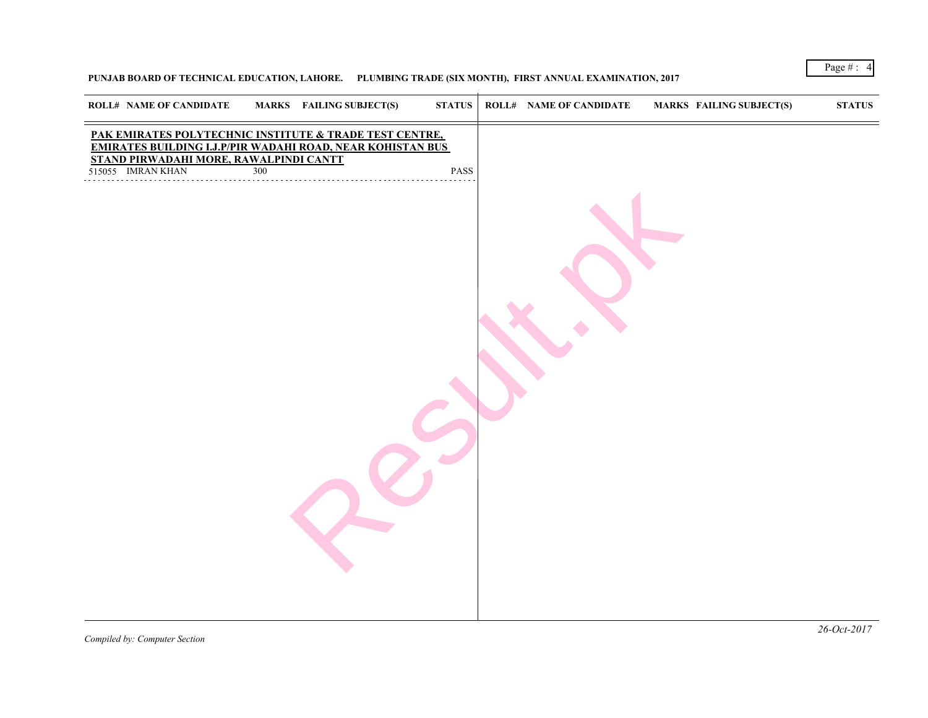**PUNJAB BOARD OF TECHNICAL EDUCATION, LAHORE. PLUMBING TRADE (SIX MONTH), FIRST ANNUAL EXAMINATION, 2017**

| ROLL# NAME OF CANDIDATE                                                                                                                                                 |     | MARKS FAILING SUBJECT(S) | STATUS | <b>ROLL# NAME OF CANDIDATE</b> | <b>MARKS FAIL</b> |
|-------------------------------------------------------------------------------------------------------------------------------------------------------------------------|-----|--------------------------|--------|--------------------------------|-------------------|
| <u>PAK EMIRATES POLYTECHNIC INSTITUTE &amp; TRADE TEST CENTRE, EMIRATES BUILDING I.J.P/PIR WADAHI ROAD, NEAR KOHISTAN BUS</u><br>STAND PIRWADAHI MORE, RAWALPINDI CANTT |     |                          |        |                                |                   |
| 515055 IMRAN KHAN                                                                                                                                                       | 300 |                          | PASS   |                                |                   |
|                                                                                                                                                                         |     |                          |        |                                |                   |
|                                                                                                                                                                         |     |                          |        |                                |                   |
|                                                                                                                                                                         |     |                          |        |                                |                   |
|                                                                                                                                                                         |     |                          |        |                                |                   |
|                                                                                                                                                                         |     |                          |        |                                |                   |
|                                                                                                                                                                         |     |                          |        |                                |                   |
|                                                                                                                                                                         |     |                          |        |                                |                   |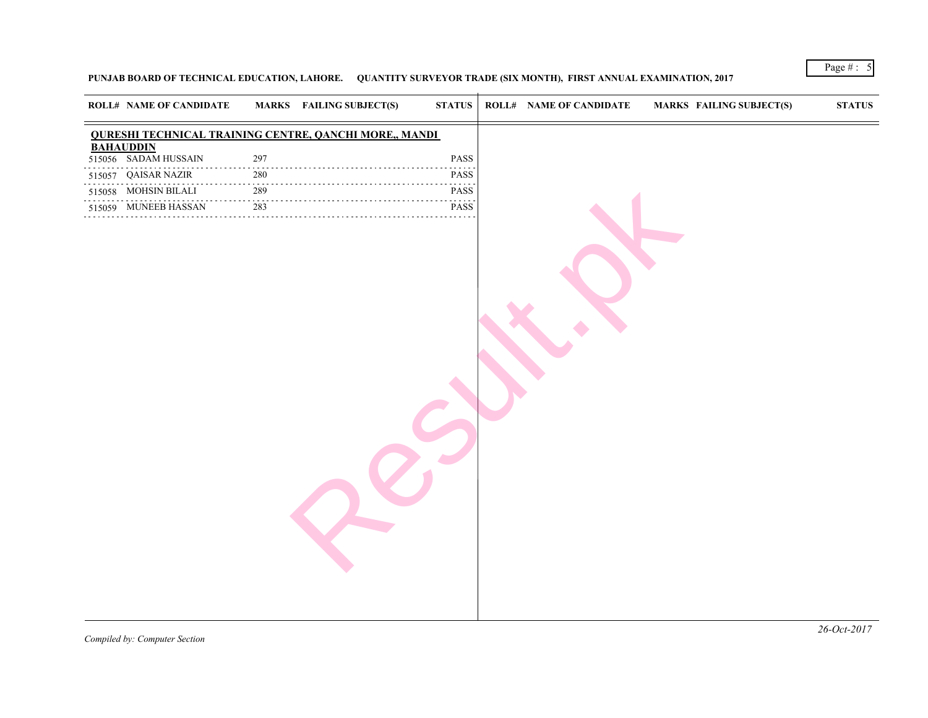### PUNJAB BOARD OF TECHNICAL EDUCATION, LAHORE. QUANTITY SURVEYOR TRADE (SIX MONTH), FIRST ANNUAL EXAMINATION, 2017

|              |                                          |     | <b>QURESHI TECHNICAL TRAINING CENTRE, QANCHI MORE,, MANDI</b> |                              |  |
|--------------|------------------------------------------|-----|---------------------------------------------------------------|------------------------------|--|
|              | <b>BAHAUDDIN</b><br>515056 SADAM HUSSAIN | 297 |                                                               | PASS                         |  |
|              | 515057 QAISAR NAZIR                      | 280 |                                                               | PASS                         |  |
|              | 515058 MOHSIN BILALI                     | 289 |                                                               | $\omega$ is a set of<br>PASS |  |
| . <b>.</b> . | 515059 MUNEEB HASSAN                     | 283 |                                                               | .<br>PASS                    |  |
|              |                                          |     |                                                               | .                            |  |
|              |                                          |     |                                                               |                              |  |
|              |                                          |     |                                                               |                              |  |
|              |                                          |     |                                                               |                              |  |
|              |                                          |     |                                                               |                              |  |
|              |                                          |     |                                                               |                              |  |
|              |                                          |     |                                                               |                              |  |
|              |                                          |     |                                                               |                              |  |
|              |                                          |     |                                                               |                              |  |
|              |                                          |     |                                                               |                              |  |
|              |                                          |     |                                                               |                              |  |
|              |                                          |     |                                                               |                              |  |
|              |                                          |     |                                                               |                              |  |
|              |                                          |     |                                                               |                              |  |
|              |                                          |     |                                                               |                              |  |
|              |                                          |     |                                                               |                              |  |
|              |                                          |     |                                                               |                              |  |
|              |                                          |     |                                                               |                              |  |
|              |                                          |     |                                                               |                              |  |
|              |                                          |     |                                                               |                              |  |
|              |                                          |     |                                                               |                              |  |
|              |                                          |     |                                                               |                              |  |
|              |                                          |     |                                                               |                              |  |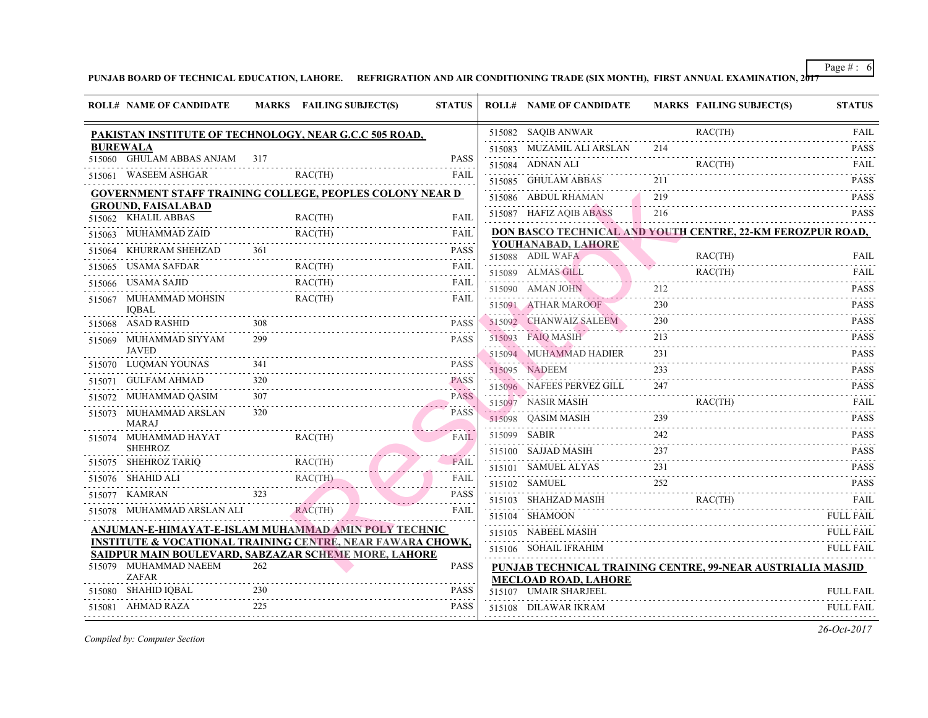### PUNJAB BOARD OF TECHNICAL EDUCATION, LAHORE. REFRIGRATION AND AIR CONDITIONING TRADE (SIX MONTH), FIRST ANNUA

|        | <b>ROLL# NAME OF CANDIDATE</b>                   |          | MARKS FAILING SUBJECT(S)                                                                                                      | <b>STATUS</b> |              | <b>ROLL# NAME OF CANDIDATE</b>                                             | <b>MARKS FAIL</b> |                  |
|--------|--------------------------------------------------|----------|-------------------------------------------------------------------------------------------------------------------------------|---------------|--------------|----------------------------------------------------------------------------|-------------------|------------------|
|        |                                                  |          | PAKISTAN INSTITUTE OF TECHNOLOGY, NEAR G.C.C 505 ROAD,                                                                        |               |              | 515082 SAQIB ANWAR                                                         |                   | RAC(             |
|        | <b>BUREWALA</b>                                  |          |                                                                                                                               |               |              | 515083 MUZAMIL ALI ARSLAN                                                  | 214               |                  |
|        | 515060 GHULAM ABBAS ANJAM                        | 317      |                                                                                                                               | <b>PASS</b>   |              | 515084 ADNAN ALI                                                           |                   | RAC <sup>(</sup> |
|        | 515061 WASEEM ASHGAR                             |          | RAC(TH)                                                                                                                       | FAII.         |              | .<br>515085 GHULAM ABBAS                                                   | 211               |                  |
|        |                                                  |          | <b>GOVERNMENT STAFF TRAINING COLLEGE, PEOPLES COLONY NEAR D</b>                                                               |               |              | 515086 ABDUL RHAMAN                                                        | 219               |                  |
|        | <b>GROUND, FAISALABAD</b><br>515062 KHALIL ABBAS |          | RAC(TH)                                                                                                                       | FAIL          |              | 515087 HAFIZ AQIB ABASS                                                    | 216               |                  |
|        | 515063 MUHAMMAD ZAID                             |          | RAC(TH)                                                                                                                       | FAIL          |              | DON BASCO TECHNICAL AND YOUTH CENT                                         |                   |                  |
| 515064 | KHURRAM SHEHZAD                                  | 361      |                                                                                                                               | <b>PASS</b>   |              | YOUHANABAD, LAHORE                                                         |                   |                  |
|        | 515065 USAMA SAFDAR                              |          | RAC(TH)                                                                                                                       | FAIL          |              | 515088 ADIL WAFA                                                           |                   | RAC(             |
|        | 515066 USAMA SAJID                               |          | RAC(TH)                                                                                                                       | FAIL          |              | 515089 ALMAS GILL                                                          |                   | RAC(             |
|        | 515067 MUHAMMAD MOHSIN                           |          | RAC(TH)                                                                                                                       | FAIL          |              | 515090 AMAN JOHN                                                           | 212               |                  |
|        | <b>IOBAL</b>                                     |          |                                                                                                                               |               |              | 515091 ATHAR MAROOF                                                        | 230               |                  |
|        | 515068 ASAD RASHID                               | 308      |                                                                                                                               | <b>PASS</b>   |              | 515092 CHANWAIZ SALEEM                                                     | 230               |                  |
|        | 515069 MUHAMMAD SIYYAM<br><b>JAVED</b>           | 299      |                                                                                                                               | <b>PASS</b>   |              | 515093 FAIQ MASIH                                                          | 213               |                  |
|        | 515070 LUQMAN YOUNAS                             | 341      |                                                                                                                               | <b>PASS</b>   |              | 515094 MUHAMMAD HADIER                                                     | 231               |                  |
|        | 515071 GULFAM AHMAD                              | 320      |                                                                                                                               | <b>PASS</b>   |              | 515095 NADEEM                                                              | 233               |                  |
|        | 515072 MUHAMMAD QASIM                            | .<br>307 |                                                                                                                               | <b>PASS</b>   |              | 515096 NAFEES PERVEZ GILL                                                  | 247               |                  |
|        | 515073 MUHAMMAD ARSLAN<br><b>MARAJ</b>           | 320      |                                                                                                                               | <b>PASS</b>   |              | 515097 NASIR MASIH<br>515098 QASIM MASIH                                   | 239               | <b>RAC</b>       |
|        | 515074 MUHAMMAD HAYAT                            |          | RAC(TH)                                                                                                                       | <b>FAIL</b>   | 515099 SABIR |                                                                            | 242               |                  |
|        | <b>SHEHROZ</b>                                   |          |                                                                                                                               |               |              | 515100 SAJJAD MASIH                                                        | 237               |                  |
|        | SHEHROZ TARIQ<br>515075 SHEHROZ TARIQ RAC(TH)    |          | RAC(TH)                                                                                                                       | FAII          |              | 515101 SAMUEL ALYAS                                                        | 231               |                  |
|        | 515076 SHAHID ALI                                |          | ALI RAC(TH)                                                                                                                   | FAIL          |              | 515102 SAMUEL                                                              | 252               |                  |
|        | 515077 KAMRAN                                    |          |                                                                                                                               | <b>PASS</b>   |              | 515103 SHAHZAD MASIH                                                       |                   | <b>RAC</b>       |
|        | 515078 MUHAMMAD ARSLAN ALI                       |          | RAC(TH)                                                                                                                       | FAIL          |              | 515104 SHAMOON                                                             |                   |                  |
|        |                                                  |          | ANJUMAN-E-HIMAYAT-E-ISLAM MUHAMMAD AMIN POLY TECHNIC                                                                          |               |              | 515105 NABEEL MASIH                                                        |                   |                  |
|        |                                                  |          | <b>INSTITUTE &amp; VOCATIONAL TRAINING CENTRE, NEAR FAWARA CHOWK,</b><br>SAIDPUR MAIN BOULEVARD, SABZAZAR SCHEME MORE, LAHORE |               |              | 515106 SOHAIL IFRAHIM                                                      |                   |                  |
|        | 515079 MUHAMMAD NAEEM<br>ZAFAR                   | 262      |                                                                                                                               | <b>PASS</b>   |              | <b>PUNJAB TECHNICAL TRAINING CENTRE, 99</b><br><b>MECLOAD ROAD, LAHORE</b> |                   |                  |
|        | 515080 SHAHID IQBAL                              | 230      |                                                                                                                               | <b>PASS</b>   |              | 515107 UMAIR SHARJEEL                                                      |                   |                  |
|        | 515081 AHMAD RAZA                                | 225      |                                                                                                                               | <b>PASS</b>   |              | 515108 DILAWAR IKRAM                                                       |                   |                  |
|        |                                                  |          |                                                                                                                               |               |              |                                                                            |                   |                  |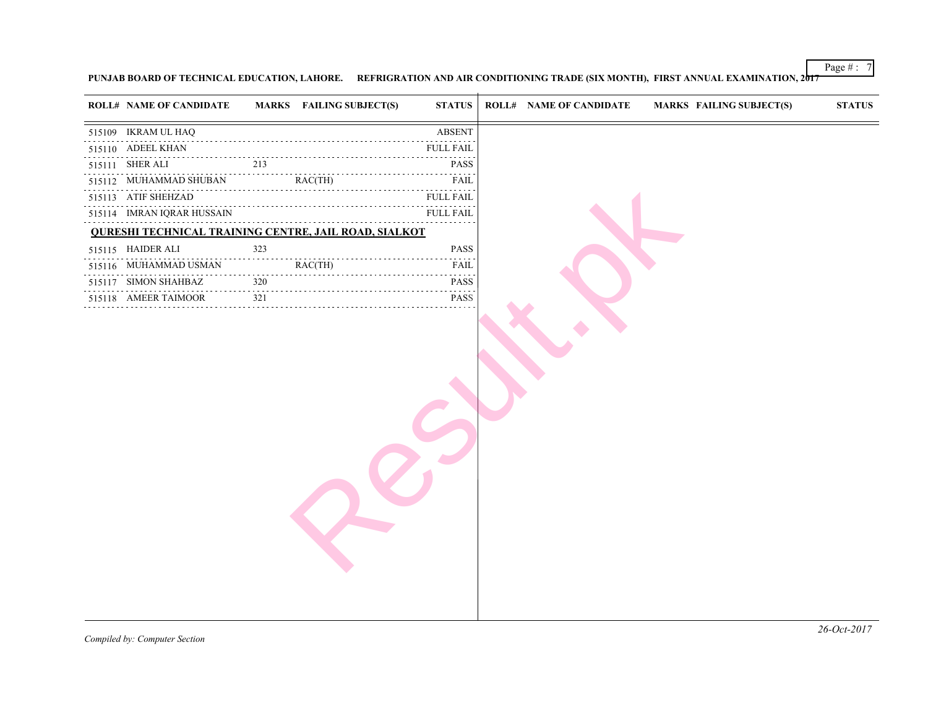### PUNJAB BOARD OF TECHNICAL EDUCATION, LAHORE. REFRIGRATION AND AIR CONDITIONING TRADE (SIX MONTH), FIRST ANNUA

| <b>ROLL# NAME OF CANDIDATE</b>                               |     | <b>MARKS</b> FAILING SUBJECT(S) | <b>STATUS</b>                                                   | <b>ROLL# NAME OF CANDIDATE</b> | <b>MARKS FAIL</b> |
|--------------------------------------------------------------|-----|---------------------------------|-----------------------------------------------------------------|--------------------------------|-------------------|
| 515109 IKRAM UL HAQ                                          |     |                                 | <b>ABSENT</b>                                                   |                                |                   |
| 515110 ADEEL KHAN                                            |     |                                 | <b>FULL FAIL</b>                                                |                                |                   |
| 515111 SHER ALI                                              | 213 |                                 | <b>PASS</b>                                                     |                                |                   |
| .<br>515112 MUHAMMAD SHUBAN                                  |     | RAC(TH)<br>$\frac{1}{2}$        | FAIL                                                            |                                |                   |
| 515113 ATIF SHEHZAD                                          |     |                                 | <b>FULL FAIL</b>                                                |                                |                   |
| 515114 IMRAN IQRAR HUSSAIN                                   |     |                                 | <b>FULL FAIL</b>                                                |                                |                   |
| <b>QURESHI TECHNICAL TRAINING CENTRE, JAIL ROAD, SIALKOT</b> |     |                                 |                                                                 |                                |                   |
| 515115 HAIDER ALI                                            | 323 |                                 | PASS                                                            |                                |                   |
| 515116 MUHAMMAD USMAN                                        |     | RAC(TH)                         | FAIL                                                            |                                |                   |
| 515117 SIMON SHAHBAZ                                         | 320 |                                 | <b>PASS</b><br>$\sim$ $\sim$ $\sim$ $\sim$ $\sim$ $\sim$ $\sim$ |                                |                   |
| 515118 AMEER TAIMOOR                                         | 321 |                                 | <b>PASS</b>                                                     |                                |                   |
|                                                              |     |                                 |                                                                 |                                |                   |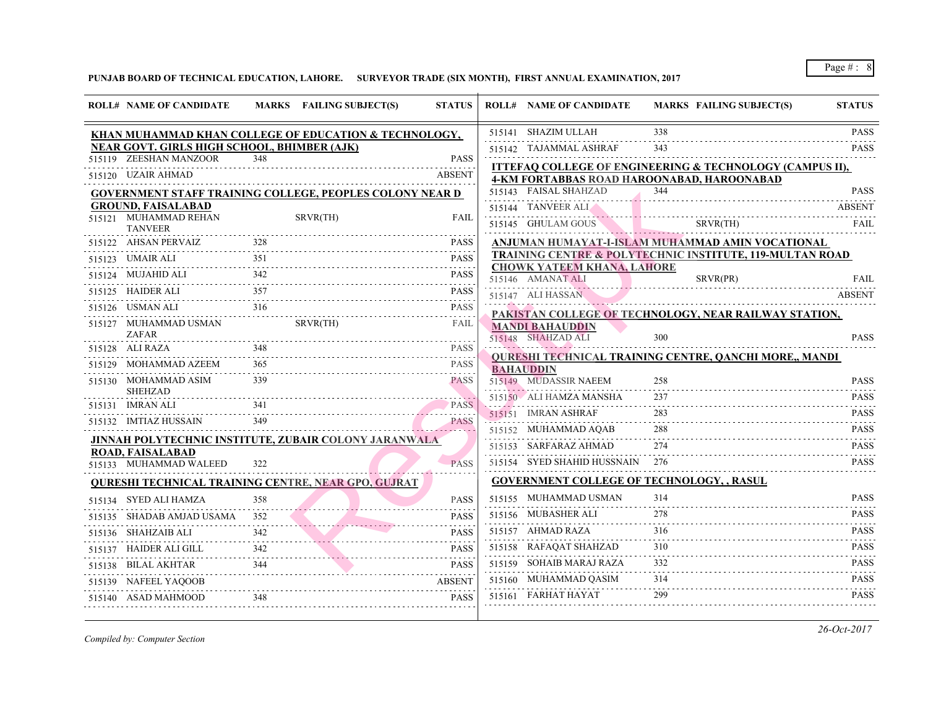**PUNJAB BOARD OF TECHNICAL EDUCATION, LAHORE. SURVEYOR TRADE (SIX MONTH), FIRST ANNUAL EXAMINATION, 2017**

| <b>ROLL# NAME OF CANDIDATE</b>                     |     | MARKS FAILING SUBJECT(S)                                        | <b>STATUS</b>            | <b>ROLL# NAME OF CANDIDATE</b>                                | <b>MARKS FAIL</b> |
|----------------------------------------------------|-----|-----------------------------------------------------------------|--------------------------|---------------------------------------------------------------|-------------------|
|                                                    |     | KHAN MUHAMMAD KHAN COLLEGE OF EDUCATION & TECHNOLOGY,           |                          | 515141 SHAZIM ULLAH                                           | 338               |
| <b>NEAR GOVT. GIRLS HIGH SCHOOL, BHIMBER (AJK)</b> |     |                                                                 |                          | 515142 TAJAMMAL ASHRAF                                        | 343               |
| 515119 ZEESHAN MANZOOR                             | 348 |                                                                 | <b>PASS</b>              | <u>ITTEFAQ COLLEGE OF ENGINEERING &amp; TE</u>                |                   |
| 515120 UZAIR AHMAD                                 |     |                                                                 | <b>ABSENT</b>            | 4-KM FORTABBAS ROAD HAROONABAD, HA                            |                   |
|                                                    |     | <b>GOVERNMENT STAFF TRAINING COLLEGE, PEOPLES COLONY NEAR D</b> |                          | 515143 FAISAL SHAHZAD                                         | 344               |
| <b>GROUND, FAISALABAD</b>                          |     |                                                                 |                          | 515144 TANVEER ALI                                            |                   |
| 515121 MUHAMMAD REHAN<br><b>TANVEER</b>            |     | SRVR(TH)                                                        | FAIL                     | 515145 GHULAM GOUS                                            | <b>SRVF</b>       |
| 515122 AHSAN PERVAIZ                               | 328 |                                                                 | <b>PASS</b>              | <u>ANJUMAN HUMAYAT-I-ISLAM MUHAMMAI</u>                       |                   |
| 515123 UMAIR ALI                                   | 351 |                                                                 | <b>PASS</b>              | <b>TRAINING CENTRE &amp; POLYTECHNIC INSTI</b>                |                   |
| 515124 MUJAHID ALI                                 |     |                                                                 | د د د د د<br><b>PASS</b> | <b>CHOWK YATEEM KHANA, LAHORE</b><br>515146 AMANAT ALI        | <b>SRVF</b>       |
| 515125 HAIDER ALI                                  | 357 |                                                                 | <b>PASS</b>              | 515147 ALI HASSAN                                             |                   |
| 515126 USMAN ALI                                   | 316 |                                                                 | <b>PASS</b><br>- - - - - | PAKISTAN COLLEGE OF TECHNOLOGY, NE                            |                   |
| 515127 MUHAMMAD USMAN<br><b>ZAFAR</b>              |     | SRVR(TH)                                                        | FAIL                     | <b>MANDI BAHAUDDIN</b><br>515148 SHAHZAD ALI                  | 300               |
| 515128 ALI RAZA                                    | 348 |                                                                 | <b>PASS</b>              |                                                               |                   |
| 515129 MOHAMMAD AZEEM                              |     |                                                                 | .<br><b>PASS</b>         | <b>QURESHI TECHNICAL TRAINING CENTRE,</b><br><b>BAHAUDDIN</b> |                   |
| 515130 MOHAMMAD ASIM<br><b>SHEHZAD</b>             | 339 |                                                                 | <b>PASS</b>              | 515149 MUDASSIR NAEEM                                         | 258               |
| 515131 IMRAN ALI                                   |     |                                                                 | <b>PASS</b>              | 515150 ALI HAMZA MANSHA                                       | 237               |
| 515132 IMTIAZ HUSSAIN                              | 349 |                                                                 | .<br><b>PASS</b>         | 515151 IMRAN ASHRAF                                           | 283               |
|                                                    |     | JINNAH POLYTECHNIC INSTITUTE, ZUBAIR COLONY JARANWALA           |                          | 515152 MUHAMMAD AQAB                                          | 288               |
| ROAD, FAISALABAD                                   |     |                                                                 |                          | 515153 SARFARAZ AHMAD                                         | 274               |
| 515133 MUHAMMAD WALEED                             | 322 |                                                                 | <b>PASS</b>              | 515154 SYED SHAHID HUSSNAIN                                   | 276               |
|                                                    |     | <b>OURESHI TECHNICAL TRAINING CENTRE, NEAR GPO, GUJRAT</b>      |                          | <b>GOVERNMENT COLLEGE OF TECHNOLOGY</b>                       |                   |
| 515134 SYED ALI HAMZA                              | 358 |                                                                 | <b>PASS</b>              | 515155 MUHAMMAD USMAN                                         | 314               |
| 515135 SHADAB AMJAD USAMA                          | 352 |                                                                 | <b>PASS</b>              | 515156 MUBASHER ALI                                           | 278               |
| 515136 SHAHZAIB ALI                                |     |                                                                 | <b>PASS</b>              | 515157 AHMAD RAZA                                             | 316               |
| 515137 HAIDER ALI GILL                             | 342 |                                                                 | <b>PASS</b>              | 515158 RAFAQAT SHAHZAD                                        | 310               |
| 515138 BILAL AKHTAR                                | 344 |                                                                 | <b>PASS</b>              | 515159 SOHAIB MARAJ RAZA                                      | 332               |
| 515139 NAFEEL YAQOOB                               |     |                                                                 | <b>ABSENT</b>            | 515160 MUHAMMAD QASIM                                         | 314               |
| 515140 ASAD MAHMOOD                                | 348 |                                                                 | <b>PASS</b>              | 515161 FARHAT HAYAT                                           | 299               |
|                                                    |     |                                                                 |                          |                                                               |                   |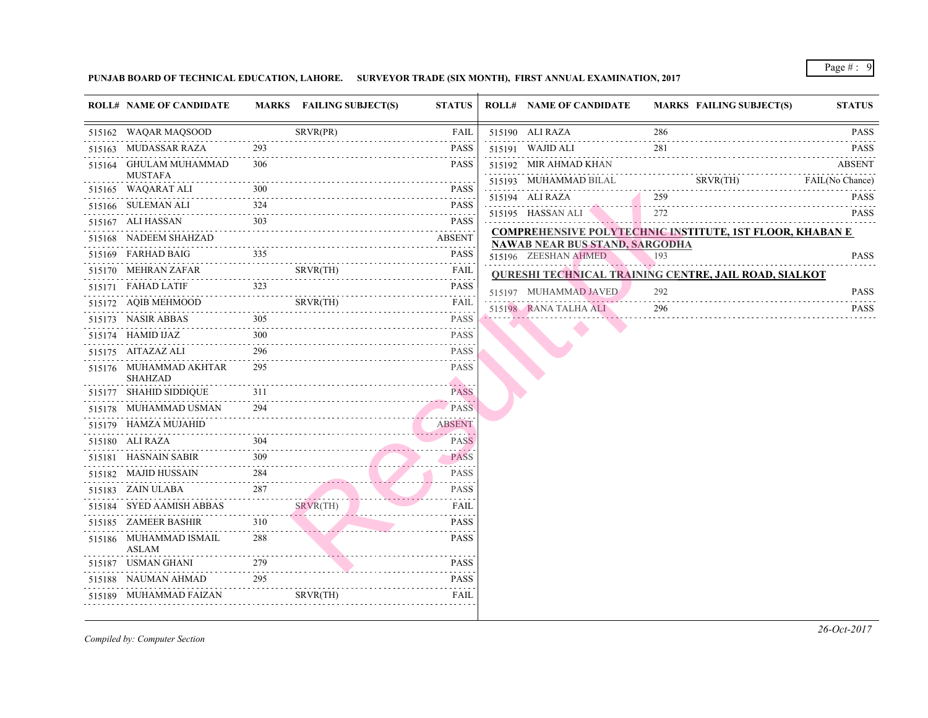### **PUNJAB BOARD OF TECHNICAL EDUCATION, LAHORE. SURVEYOR TRADE (SIX MONTH), FIRST ANNUAL EXAMINATION, 2017**

| SRVR(PR)<br>286<br>515162 WAQAR MAQSOOD<br>FAIL<br>515190 ALI RAZA<br>281<br>515163 MUDASSAR RAZA<br>515191 WAJID ALI<br><b>PASS</b><br>515164 GHULAM MUHAMMAD<br>306<br>515192 MIR AHMAD KHAN<br>PASS<br><b>MUSTAFA</b><br>515193 MUHAMMAD BILAL<br><u>.</u><br>515165 WAQARAT ALI<br>$\frac{300}{1}$ PASS<br>259<br>515194 ALI RAZA<br>515166 SULEMAN ALI 324 PASS<br>515166 SULEMAN ALI<br>272<br>515195 HASSAN ALI<br>$303$ PASS<br>515167 ALI HASSAN<br>PASS<br>515168 NADEEM SHAHZAD ABSENT<br><b>NAWAB NEAR BUS STAND, SARGODHA</b><br>515169 FARHAD BAIG 335 PASS<br><b>PASS</b><br>515196 ZEESHAN AHMED<br>193<br>515170 MEHRAN ZAFAR SRVR(TH)<br>FAIL<br>$\mathcal{L}^{\mathcal{A}}\left( \mathcal{A}^{\mathcal{A}}\right) =\mathcal{L}^{\mathcal{A}}\left( \mathcal{A}^{\mathcal{A}}\right)$<br><b>PASS</b><br>292<br>515197 MUHAMMAD JAVED<br>296<br>515198 RANA TALHA ALI<br>515173 NASIR ABBAS<br><b>PASS</b><br>$-1 - 1 - 1 - 1$<br>300<br><b>PASS</b><br>515174 HAMID IJAZ<br>296<br>515175 AITAZAZ ALI<br><b>PASS</b><br>295<br><b>PASS</b><br>515176 MUHAMMAD AKHTAR<br><b>SHAHZAD</b><br>311<br>515177 SHAHID SIDDIQUE<br><b>PASS</b><br>515178 MUHAMMAD USMAN 294 PASS<br>515179 HAMZA MUJAHID ABSENT<br>515180 ALI RAZA 304 PASS<br><b>PASS</b><br>$\frac{309}{200}$<br><b>PASS</b><br>515181 HASNAIN SABIR<br>.<br>515182 MAJID HUSSAIN 284<br><b>PASS</b><br>$\frac{287}{25}$<br>515183 ZAIN ULABA<br><b>PASS</b><br>515184 SYED AAMISH ABBAS<br>SRVR(TH)<br>FAIL<br>515185 ZAMEER BASHIR<br>310<br><b>PASS</b><br>.<br>288<br><b>PASS</b><br>515186 MUHAMMAD ISMAIL<br>ASLAM<br>515187 USMAN GHANI 279 PASS<br>295<br>515188 NAUMAN AHMAD<br><b>PASS</b><br>515189 MUHAMMAD FAIZAN SRVR(TH) FAIL | <b>ROLL# NAME OF CANDIDATE</b> | MARKS FAILING SUBJECT(S) | <b>STATUS</b> | <b>ROLL# NAME OF CANDIDATE</b> | <b>MARKS FAIL</b> |
|--------------------------------------------------------------------------------------------------------------------------------------------------------------------------------------------------------------------------------------------------------------------------------------------------------------------------------------------------------------------------------------------------------------------------------------------------------------------------------------------------------------------------------------------------------------------------------------------------------------------------------------------------------------------------------------------------------------------------------------------------------------------------------------------------------------------------------------------------------------------------------------------------------------------------------------------------------------------------------------------------------------------------------------------------------------------------------------------------------------------------------------------------------------------------------------------------------------------------------------------------------------------------------------------------------------------------------------------------------------------------------------------------------------------------------------------------------------------------------------------------------------------------------------------------------------------------------------------------------------------------------------------------------------------------------------------------------------------------|--------------------------------|--------------------------|---------------|--------------------------------|-------------------|
|                                                                                                                                                                                                                                                                                                                                                                                                                                                                                                                                                                                                                                                                                                                                                                                                                                                                                                                                                                                                                                                                                                                                                                                                                                                                                                                                                                                                                                                                                                                                                                                                                                                                                                                          |                                |                          |               |                                |                   |
| <b>SRVF</b><br><b>COMPREHENSIVE POLYTECHNIC INSTITUT</b><br><b>QURESHI TECHNICAL TRAINING CENTRE, .</b>                                                                                                                                                                                                                                                                                                                                                                                                                                                                                                                                                                                                                                                                                                                                                                                                                                                                                                                                                                                                                                                                                                                                                                                                                                                                                                                                                                                                                                                                                                                                                                                                                  |                                |                          |               |                                |                   |
|                                                                                                                                                                                                                                                                                                                                                                                                                                                                                                                                                                                                                                                                                                                                                                                                                                                                                                                                                                                                                                                                                                                                                                                                                                                                                                                                                                                                                                                                                                                                                                                                                                                                                                                          |                                |                          |               |                                |                   |
|                                                                                                                                                                                                                                                                                                                                                                                                                                                                                                                                                                                                                                                                                                                                                                                                                                                                                                                                                                                                                                                                                                                                                                                                                                                                                                                                                                                                                                                                                                                                                                                                                                                                                                                          |                                |                          |               |                                |                   |
|                                                                                                                                                                                                                                                                                                                                                                                                                                                                                                                                                                                                                                                                                                                                                                                                                                                                                                                                                                                                                                                                                                                                                                                                                                                                                                                                                                                                                                                                                                                                                                                                                                                                                                                          |                                |                          |               |                                |                   |
|                                                                                                                                                                                                                                                                                                                                                                                                                                                                                                                                                                                                                                                                                                                                                                                                                                                                                                                                                                                                                                                                                                                                                                                                                                                                                                                                                                                                                                                                                                                                                                                                                                                                                                                          |                                |                          |               |                                |                   |
|                                                                                                                                                                                                                                                                                                                                                                                                                                                                                                                                                                                                                                                                                                                                                                                                                                                                                                                                                                                                                                                                                                                                                                                                                                                                                                                                                                                                                                                                                                                                                                                                                                                                                                                          |                                |                          |               |                                |                   |
|                                                                                                                                                                                                                                                                                                                                                                                                                                                                                                                                                                                                                                                                                                                                                                                                                                                                                                                                                                                                                                                                                                                                                                                                                                                                                                                                                                                                                                                                                                                                                                                                                                                                                                                          |                                |                          |               |                                |                   |
|                                                                                                                                                                                                                                                                                                                                                                                                                                                                                                                                                                                                                                                                                                                                                                                                                                                                                                                                                                                                                                                                                                                                                                                                                                                                                                                                                                                                                                                                                                                                                                                                                                                                                                                          |                                |                          |               |                                |                   |
|                                                                                                                                                                                                                                                                                                                                                                                                                                                                                                                                                                                                                                                                                                                                                                                                                                                                                                                                                                                                                                                                                                                                                                                                                                                                                                                                                                                                                                                                                                                                                                                                                                                                                                                          |                                |                          |               |                                |                   |
|                                                                                                                                                                                                                                                                                                                                                                                                                                                                                                                                                                                                                                                                                                                                                                                                                                                                                                                                                                                                                                                                                                                                                                                                                                                                                                                                                                                                                                                                                                                                                                                                                                                                                                                          |                                |                          |               |                                |                   |
|                                                                                                                                                                                                                                                                                                                                                                                                                                                                                                                                                                                                                                                                                                                                                                                                                                                                                                                                                                                                                                                                                                                                                                                                                                                                                                                                                                                                                                                                                                                                                                                                                                                                                                                          |                                |                          |               |                                |                   |
|                                                                                                                                                                                                                                                                                                                                                                                                                                                                                                                                                                                                                                                                                                                                                                                                                                                                                                                                                                                                                                                                                                                                                                                                                                                                                                                                                                                                                                                                                                                                                                                                                                                                                                                          |                                |                          |               |                                |                   |
|                                                                                                                                                                                                                                                                                                                                                                                                                                                                                                                                                                                                                                                                                                                                                                                                                                                                                                                                                                                                                                                                                                                                                                                                                                                                                                                                                                                                                                                                                                                                                                                                                                                                                                                          |                                |                          |               |                                |                   |
|                                                                                                                                                                                                                                                                                                                                                                                                                                                                                                                                                                                                                                                                                                                                                                                                                                                                                                                                                                                                                                                                                                                                                                                                                                                                                                                                                                                                                                                                                                                                                                                                                                                                                                                          |                                |                          |               |                                |                   |
|                                                                                                                                                                                                                                                                                                                                                                                                                                                                                                                                                                                                                                                                                                                                                                                                                                                                                                                                                                                                                                                                                                                                                                                                                                                                                                                                                                                                                                                                                                                                                                                                                                                                                                                          |                                |                          |               |                                |                   |
|                                                                                                                                                                                                                                                                                                                                                                                                                                                                                                                                                                                                                                                                                                                                                                                                                                                                                                                                                                                                                                                                                                                                                                                                                                                                                                                                                                                                                                                                                                                                                                                                                                                                                                                          |                                |                          |               |                                |                   |
|                                                                                                                                                                                                                                                                                                                                                                                                                                                                                                                                                                                                                                                                                                                                                                                                                                                                                                                                                                                                                                                                                                                                                                                                                                                                                                                                                                                                                                                                                                                                                                                                                                                                                                                          |                                |                          |               |                                |                   |
|                                                                                                                                                                                                                                                                                                                                                                                                                                                                                                                                                                                                                                                                                                                                                                                                                                                                                                                                                                                                                                                                                                                                                                                                                                                                                                                                                                                                                                                                                                                                                                                                                                                                                                                          |                                |                          |               |                                |                   |
|                                                                                                                                                                                                                                                                                                                                                                                                                                                                                                                                                                                                                                                                                                                                                                                                                                                                                                                                                                                                                                                                                                                                                                                                                                                                                                                                                                                                                                                                                                                                                                                                                                                                                                                          |                                |                          |               |                                |                   |
|                                                                                                                                                                                                                                                                                                                                                                                                                                                                                                                                                                                                                                                                                                                                                                                                                                                                                                                                                                                                                                                                                                                                                                                                                                                                                                                                                                                                                                                                                                                                                                                                                                                                                                                          |                                |                          |               |                                |                   |
|                                                                                                                                                                                                                                                                                                                                                                                                                                                                                                                                                                                                                                                                                                                                                                                                                                                                                                                                                                                                                                                                                                                                                                                                                                                                                                                                                                                                                                                                                                                                                                                                                                                                                                                          |                                |                          |               |                                |                   |
|                                                                                                                                                                                                                                                                                                                                                                                                                                                                                                                                                                                                                                                                                                                                                                                                                                                                                                                                                                                                                                                                                                                                                                                                                                                                                                                                                                                                                                                                                                                                                                                                                                                                                                                          |                                |                          |               |                                |                   |
|                                                                                                                                                                                                                                                                                                                                                                                                                                                                                                                                                                                                                                                                                                                                                                                                                                                                                                                                                                                                                                                                                                                                                                                                                                                                                                                                                                                                                                                                                                                                                                                                                                                                                                                          |                                |                          |               |                                |                   |
|                                                                                                                                                                                                                                                                                                                                                                                                                                                                                                                                                                                                                                                                                                                                                                                                                                                                                                                                                                                                                                                                                                                                                                                                                                                                                                                                                                                                                                                                                                                                                                                                                                                                                                                          |                                |                          |               |                                |                   |
|                                                                                                                                                                                                                                                                                                                                                                                                                                                                                                                                                                                                                                                                                                                                                                                                                                                                                                                                                                                                                                                                                                                                                                                                                                                                                                                                                                                                                                                                                                                                                                                                                                                                                                                          |                                |                          |               |                                |                   |
|                                                                                                                                                                                                                                                                                                                                                                                                                                                                                                                                                                                                                                                                                                                                                                                                                                                                                                                                                                                                                                                                                                                                                                                                                                                                                                                                                                                                                                                                                                                                                                                                                                                                                                                          |                                |                          |               |                                |                   |
|                                                                                                                                                                                                                                                                                                                                                                                                                                                                                                                                                                                                                                                                                                                                                                                                                                                                                                                                                                                                                                                                                                                                                                                                                                                                                                                                                                                                                                                                                                                                                                                                                                                                                                                          |                                |                          |               |                                |                   |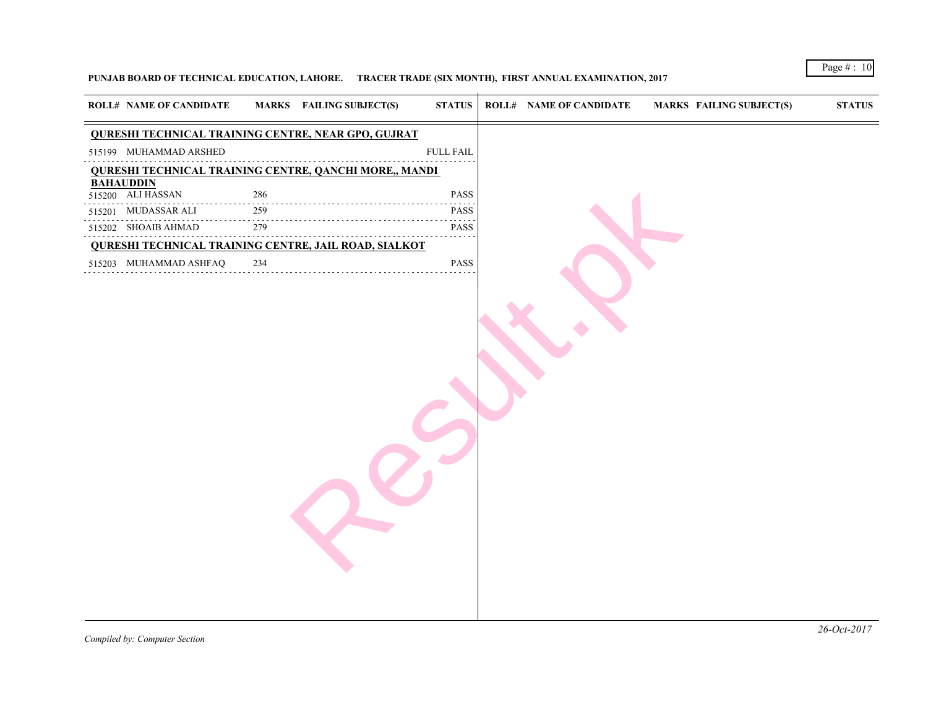## **PUNJAB BOARD OF TECHNICAL EDUCATION, LAHORE. TRACER TRADE (SIX MONTH), FIRST ANNUAL EXAMINATION, 2017**

| <b>ROLL# NAME OF CANDIDATE</b>                                                    | <b>MARKS</b> FAILING SUBJECT(S)<br><b>STATUS</b>                          | <b>ROLL# NAME OF CANDIDATE</b> | <b>MARKS FAIL</b> |
|-----------------------------------------------------------------------------------|---------------------------------------------------------------------------|--------------------------------|-------------------|
| <b>QURESHI TECHNICAL TRAINING CENTRE, NEAR GPO, GUJRAT</b>                        |                                                                           |                                |                   |
| 515199 MUHAMMAD ARSHED                                                            | <b>FULL FAIL</b>                                                          |                                |                   |
| <b>QURESHI TECHNICAL TRAINING CENTRE, QANCHI MORE,, MANDI</b><br><b>BAHAUDDIN</b> |                                                                           |                                |                   |
| 515200 ALI HASSAN<br>286                                                          | PASS                                                                      |                                |                   |
| MUDASSAR ALI<br>259<br>515201                                                     | <b>PASS</b>                                                               |                                |                   |
| $\sim$<br>279<br>515202 SHOAIB AHMAD                                              | $\omega_{\alpha}=\omega_{\alpha}=\omega_{\alpha}=\omega_{\alpha}$<br>PASS |                                |                   |
| <b>QURESHI TECHNICAL TRAINING CENTRE, JAIL ROAD, SIALKOT</b>                      |                                                                           |                                |                   |
| 234<br>515203 MUHAMMAD ASHFAQ                                                     | PASS                                                                      |                                |                   |
|                                                                                   |                                                                           |                                |                   |
|                                                                                   |                                                                           |                                |                   |